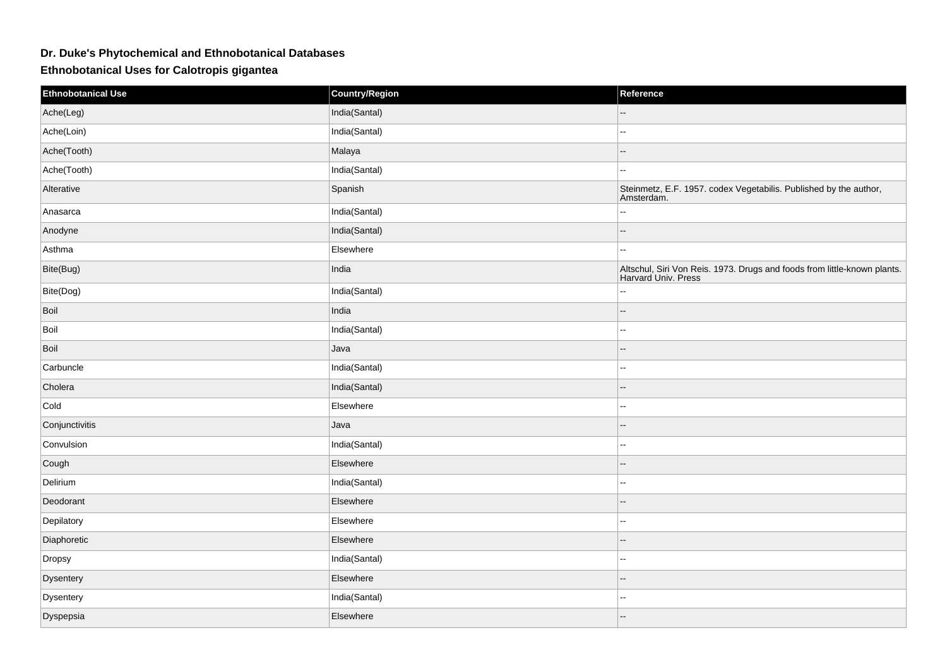## **Dr. Duke's Phytochemical and Ethnobotanical Databases**

**Ethnobotanical Uses for Calotropis gigantea**

| <b>Ethnobotanical Use</b> | <b>Country/Region</b> | Reference                                                                                       |
|---------------------------|-----------------------|-------------------------------------------------------------------------------------------------|
| Ache(Leg)                 | India(Santal)         |                                                                                                 |
| Ache(Loin)                | India(Santal)         | Ξ.                                                                                              |
| Ache(Tooth)               | Malaya                | $\overline{a}$                                                                                  |
| Ache(Tooth)               | India(Santal)         | $\overline{\phantom{a}}$                                                                        |
| Alterative                | Spanish               | Steinmetz, E.F. 1957. codex Vegetabilis. Published by the author,<br>Amsterdam.                 |
| Anasarca                  | India(Santal)         | 44                                                                                              |
| Anodyne                   | India(Santal)         | $\overline{\phantom{a}}$                                                                        |
| Asthma                    | Elsewhere             | $\overline{\phantom{a}}$                                                                        |
| Bite(Bug)                 | India                 | Altschul, Siri Von Reis. 1973. Drugs and foods from little-known plants.<br>Harvard Univ. Press |
| Bite(Dog)                 | India(Santal)         | $\overline{a}$                                                                                  |
| Boil                      | India                 | $\overline{\phantom{a}}$                                                                        |
| Boil                      | India(Santal)         | $\overline{a}$                                                                                  |
| Boil                      | Java                  | --                                                                                              |
| Carbuncle                 | India(Santal)         | $\overline{a}$                                                                                  |
| Cholera                   | India(Santal)         | $\overline{a}$                                                                                  |
| Cold                      | Elsewhere             | н.                                                                                              |
| Conjunctivitis            | Java                  | $\overline{a}$                                                                                  |
| Convulsion                | India(Santal)         | Ξ.                                                                                              |
| Cough                     | Elsewhere             | $\overline{\phantom{a}}$                                                                        |
| Delirium                  | India(Santal)         | $\overline{\phantom{a}}$                                                                        |
| Deodorant                 | Elsewhere             | $\overline{\phantom{a}}$                                                                        |
| Depilatory                | Elsewhere             | $\overline{a}$                                                                                  |
| Diaphoretic               | Elsewhere             | $\overline{\phantom{a}}$                                                                        |
| Dropsy                    | India(Santal)         | $\sim$                                                                                          |
| Dysentery                 | Elsewhere             | $\overline{\phantom{a}}$                                                                        |
| Dysentery                 | India(Santal)         | $\sim$                                                                                          |
| Dyspepsia                 | Elsewhere             | --                                                                                              |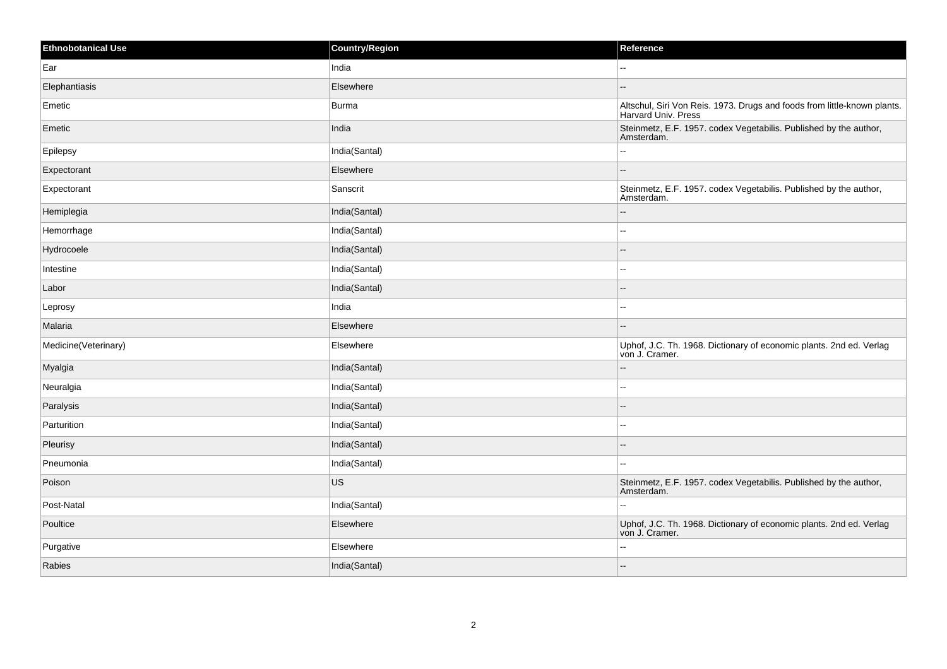| Ethnobotanical Use   | <b>Country/Region</b> | Reference                                                                                       |
|----------------------|-----------------------|-------------------------------------------------------------------------------------------------|
| Ear                  | India                 | $\overline{a}$                                                                                  |
| Elephantiasis        | Elsewhere             |                                                                                                 |
| Emetic               | <b>Burma</b>          | Altschul, Siri Von Reis. 1973. Drugs and foods from little-known plants.<br>Harvard Univ. Press |
| Emetic               | India                 | Steinmetz, E.F. 1957. codex Vegetabilis. Published by the author,<br>Amsterdam.                 |
| Epilepsy             | India(Santal)         | Ξ.                                                                                              |
| Expectorant          | Elsewhere             | $\overline{\phantom{a}}$                                                                        |
| Expectorant          | Sanscrit              | Steinmetz, E.F. 1957. codex Vegetabilis. Published by the author,<br>Amsterdam.                 |
| Hemiplegia           | India(Santal)         | $\overline{a}$                                                                                  |
| Hemorrhage           | India(Santal)         | Ξ.                                                                                              |
| Hydrocoele           | India(Santal)         |                                                                                                 |
| Intestine            | India(Santal)         | $\overline{\phantom{a}}$                                                                        |
| Labor                | India(Santal)         | --                                                                                              |
| Leprosy              | India                 | $\overline{a}$                                                                                  |
| Malaria              | Elsewhere             | $\overline{\phantom{a}}$                                                                        |
| Medicine(Veterinary) | Elsewhere             | Uphof, J.C. Th. 1968. Dictionary of economic plants. 2nd ed. Verlag<br>von J. Cramer.           |
| Myalgia              | India(Santal)         | $-$                                                                                             |
| Neuralgia            | India(Santal)         | $\overline{\phantom{a}}$                                                                        |
| Paralysis            | India(Santal)         | $\overline{a}$                                                                                  |
| Parturition          | India(Santal)         | $\overline{\phantom{a}}$                                                                        |
| Pleurisy             | India(Santal)         | --                                                                                              |
| Pneumonia            | India(Santal)         | $\sim$                                                                                          |
| Poison               | US                    | Steinmetz, E.F. 1957. codex Vegetabilis. Published by the author,<br>Amsterdam.                 |
| Post-Natal           | India(Santal)         | ۵۵                                                                                              |
| Poultice             | Elsewhere             | Uphof, J.C. Th. 1968. Dictionary of economic plants. 2nd ed. Verlag<br>von J. Cramer.           |
| Purgative            | Elsewhere             | --                                                                                              |
| Rabies               | India(Santal)         | --                                                                                              |